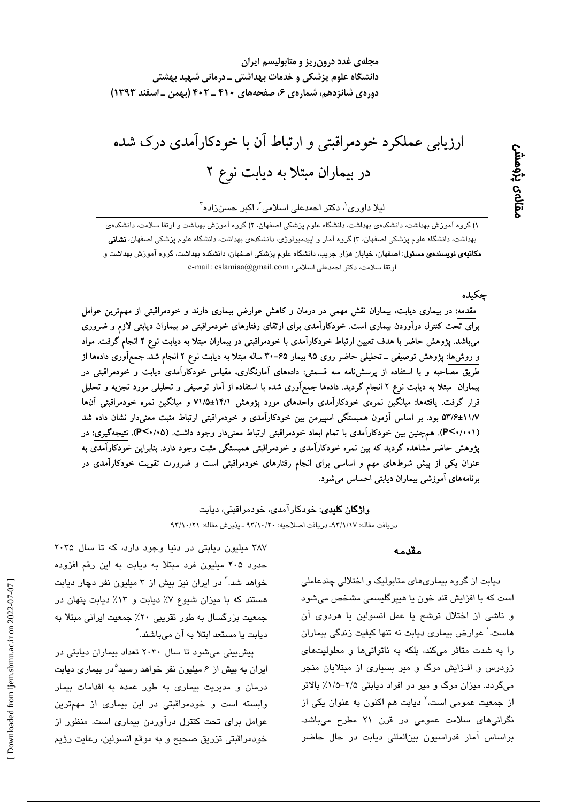# ارزیابی عملکرد خودمراقبتی و ارتباط آن با خودکارآمدی درک شده در بیماران مبتلا به دیابت نوع ۲

لیلا داوری ${}^{\prime}$ ، دکتر احمدعلی اسلامی ${}^{\prime}$ ، اکبر حسنزاده ${}^{\prime}$ 

۱) گروه آموزش بهداشت، دانشکدهی بهداشت، دانشگاه علوم پزشکی اصفهان، ۲) گروه آموزش بهداشت و ارتقا سلامت، دانشکدهی بهداشت، دانشگاه علوم پزشکی اصفهان، ۳) گروه آمار و اپیدمیولوژی، دانشکدهی بهداشت، دانشگاه علوم پزشکی اصفهان، **نشانی مکاتبهی نویسندهی مسئول**: اصفهان، خیابان هزار جریب، دانشگاه علوم پزشکی اصفهان، دانشکده بهداشت، گروه آموزش بهداشت و ارتقا سلامت، دكتر احمدعلى اسلامى: e-mail: eslamiaa@gmail.com

#### حكىدە

مقدمه: در بیماری دیابت، بیماران نقش مهمی در درمان و کاهش عوارض بیماری دارند و خودمراقبتی از مهمترین عوامل برای تحت کنترل درآوردن بیماری است. خودکارآمدی برای ارتقای رفتارهای خودمراقبتی در بیماران دیابتی لازم و ضروری میباشد. پژوهش حاضر با هدف تعیین ارتباط خودکارآمدی با خودمراقبتی در بیماران مبتلا به دیابت نوع ۲ انجام گرفت. مواد و روشها: پژوهش توصیفی ــ تحلیلی حاضر روی ۹۵ بیمار ۶۵–۳۰ ساله مبتلا به دیابت نوع ۲ انجام شد. جمعآوری دادهها از طریق مصاحبه و با استفاده از پرسشنامه سه قسمتی: دادههای آمارنگاری، مقیاس خودکارآمدی دیابت و خودمراقبتی در بیماران ً مبتلاً به دیابت نوع ۲ انجام گردید. دادهها جمعآوری شده با استفاده از آمار توصیفی و تحلیلی مورد تجزیه و تحلیل قرار گرفت. یافتهها: میانگین نمرهی خودکارآمدی واحدهای مورد پژوهش ۱۴/۱±۷۱/۵ و میانگین نمره خودمراقبتی آنها ۵۳/۶±۱۱/۷ بود. بر اساس آزمون همبستگی اسپیرمن بین خودکارآمدی و خودمراقبتی ارتباط مثبت معنیدار نشان داده شد (P<۰/۰۰۱). همچنین بین خودکارآمدی با تمام ابعاد خودمراقبتی ارتباط معنیدار وجود داشت. (P<۰/۰۵). نتیجهگیری: در پژوهش حاضر مشاهده گردید که بین نمره خودکارآمدی و خودمراقبتی همبستگی مثبت وجود دارد. بنابراین خودکارآمدی به عنوان یکی از پیش شرطهای مهم و اساسی برای انجام رفتارهای خودمراقبتی است و ضرورت تقویت خودکارآمدی در برنامههای آموزشی بیماران دیابتی احساس می شود.

**واژگان کلیدی**: خودکار آمدی، خودمراقبتی، دیابت

دريافت مقاله: ٩٣/١/١٧- دريافت اصلاحيه: ٩٣/١٠/٢٠ - پذيرش مقاله: ٩٣/١٠/٢١

#### مقدمه

دیابت از گروه بیماریهای متابولیک و اختلالی چندعاملی است که با افزایش قند خون یا هیپرگلیسمی مشخص میشود و ناشی از اختلال ترشح یا عمل انسولین یا هردوی آن هاست.' عوارض بیماری دیابت نه تنها کیفیت زندگی بیماران را به شدت متاثر میکند، بلکه به ناتوانیها و معلولیتهای زودرس و افـزایش مرگ و میر بسیاری از مبتلایان منجر میگردد. میزان مرگ و میر در افراد دیابتی ۲/۵-۱/۵٪ بالاتر از جمعیت عمومی است،<sup>۲</sup> دیابت هم اکنون به عنوان یکی از نگرانیهای سلامت عمومی در قرن ۲۱ مطرح میباشد. براساس آمار فدراسیون بینالمللی دیابت در حال حاضر

۳۸۷ میلیون دیابتی در دنیا وجود دارد، که تا سال ۲۰۳۵ حدود ۲۰۵ میلیون فرد مبتلا به دیابت به این رقم افزوده خواهد شد.<sup>۲</sup> در ایران نیز بیش از ۳ میلیون نفر دچار دیابت هستند که با میزان شیوع ۷٪ دیابت و ۱۳٪ دیابت پنهان در جمعیت بزرگسال به طور تقریبی ۲۰٪ جمعیت ایرانی مبتلا به دیابت یا مستعد ابتلا به آن میباشند. ٔ

پیشبینی میشود تا سال ۲۰۳۰ تعداد بیماران دیابتی در ایران به بیش از ۶ میلیون نفر خواهد رسید<sup>0</sup>در بیماری دیابت درمان و مدیریت بیماری به طور عمده به اقدامات بیمار وابسته است و خودمراقبتی در این بیماری از مهمترین عوامل برای تحت کنترل درآوردن بیماری است. منظور از خودمراقبتي تزريق صحيح و به موقع انسولين، رعايت رژيم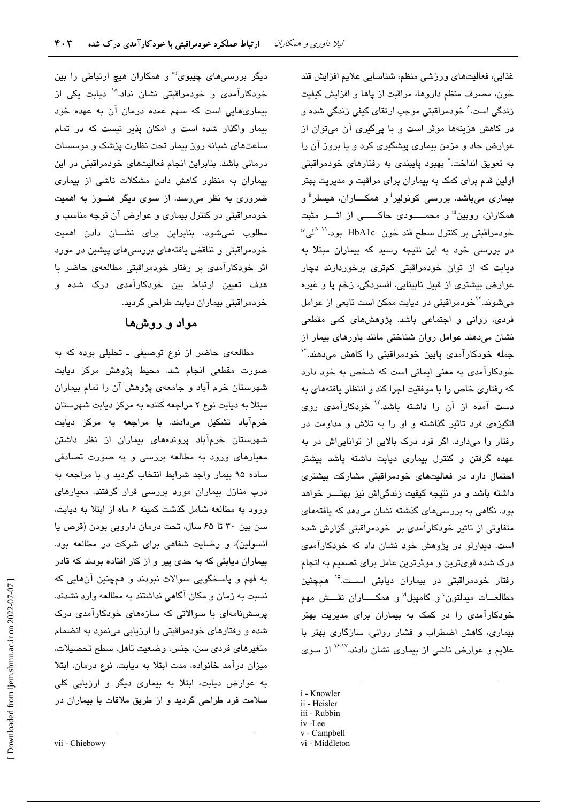غذايي، فعاليتهاي ورزشي منظم، شناسايي علايم افزايش قند خون، مصرف منظم داروها، مراقبت از پاها و افزایش کیفیت زندگی است. ٗ خودمراقبتی موجب ارتقای کیفی زندگی شده و در کاهش هزینهها موثر است و با پیگیری آن میتوان از عوارض حاد و مزمن بیماری پیشگیری کرد و یا بروز آن را به تعویق انداخت.<sup>۷</sup> بهبود یابیندی به رفتارهای خودمراقبتی اولین قدم برای کمک به بیماران برای مراقبت و مدیریت بهتر بیماری میباشد. بررسی کونولیر<sup>:</sup> و همکــــاران، هیسلر<sup>ة</sup> و همکاران، روبین" و محمــــودی حاکـــــی از اثـــر مثبت خودمراقبتی بر کنترل سطح قند خون HbA1c بود.''<sup>-^</sup>لی" در بررسی خود به این نتیجه رسید که بیماران مبتلا به دیابت که از توان خودمراقبتی کمتری برخوردارند دچار عوارض بیشتری از قبیل نابینایی، افسردگی، زخم پا و غیره میشوند.<sup>۷</sup>`خودمراقبتی در دیابت ممکن است تابعی از عوامل فردی، روانی و اجتماعی باشد. پژوهشهای کمی مقطعی نشان میدهند عوامل روان شناختی مانند باورهای بیمار از جمله خودکارآمد*ی* پایین خودمراقبتی را کاهش می،دهند.<sup>۱۳</sup> خودکارآمدی به معنی ایمانی است که شخص به خود دارد که رفتاری خاص را با موفقیت اجرا کند و انتظار یافتههای به دست آمده از آن را داشته باشد." خودکارآمدی روی انگیزهی فرد تاثیر گذاشته و او را به تلاش و مداومت در رفتار وا میدارد. اگر فرد درک بالایی از تواناییاش در به عهده گرفتن و کنترل بیماری دیابت داشته باشد بیشتر احتمال دارد در فعالیتهای خودمراقبتی مشارکت بیشتری داشته باشد و در نتیجه کیفیت زندگیاش نیز بهتــــر خواهد بود. نگاهی به بررسیهای گذشته نشان میدهد که یافتههای متفاوتی از تاثیر خودکارآمدی بر خودمراقبتی گزارش شده است. دیدارلو در پژوهش خود نشان داد که خودکارآمدی درک شده قویترین و موثرترین عامل برای تصمیم به انجام رفتار خودمراقبتی در بیماران دیابتی اســت.<sup>۱۵</sup> همچنین مطالعــات میدلتون<sup>٬</sup> و کامپبل<sup>۰٬</sup> و همکـــــاران نقـــش مهم خودکارآمدی را در کمک به بیماران برای مدیریت بهتر بیماری، کاهش اضطراب و فشار روانی، سازگاری بهتر با علایم و عوارض ناشی از بیماری نشان دادند.<sup>۱۶٬۱۷</sup> از سوی

 $i$  - Knowler

- ii Heisler
- iii Rubbin
- iv-Lee
- v Campbell

دیگر بررسیهای چیبوی<sup>iï</sup> و همکاران هیچ ارتباطی را بین خودکارآمدی و خودمراقبتی نشان نداد.^` دیابت یکی از بیماریهایی است که سهم عمده درمان آن به عهده خود بیمار واگذار شده است و امکان پذیر نیست که در تمام ساعتهای شبانه روز بیمار تحت نظارت پزشک و موسسات درمانی باشد. بنابراین انجام فعالیتهای خودمراقبتی در این بیماران به منظور کاهش دادن مشکلات ناشی از بیماری ضروری به نظر میرسد. از سوی دیگر هنــوز به اهمیت خودمراقبتی در کنترل بیماری و عوارض آن توجه مناسب و مطلوب نمیشود. بنابراین برای نشسان دادن اهمیت خودمراقبتی و تناقض یافتههای بررسیهای پیشین در مورد اثر خودکارآمدی بر رفتار خودمراقبتی مطالعهی حاضر با هدف تعیین ارتباط بین خودکارآمدی درک شده و خودمراقبتی بیماران دیابت طراحی گردید.

### مواد و روشها

مطالعهی حاضر از نوع توصیفی ـ تحلیلی بوده که به صورت مقطعی انجام شد. محیط پژوهش مرکز دیابت شهرستان خرم آباد و جامعهی پژوهش آن را تمام بیماران مبتلا به دیابت نوع ۲ مراجعه کننده به مرکز دیابت شهرستان خرمآباد تشكيل مىدادند. با مراجعه به مركز ديابت شهرستان خرمآباد پروندههای بیماران از نظر داشتن معیارهای ورود به مطالعه بررسی و به صورت تصادفی ساده ۹۵ بیمار واجد شرایط انتخاب گردید و با مراجعه به درب منازل بیماران مورد بررسی قرار گرفتند. معیارهای ورود به مطالعه شامل گذشت کمینه ۶ ماه از ابتلا به دیابت، سن بين ٣٠ تا ۶۵ سال، تحت درمان دارويي بودن (قرص يا انسولین)، و رضایت شفاهی برای شرکت در مطالعه بود. بیماران دیابتی که به حدی پیر و از کار افتاده بودند که قادر به فهم و پاسخگويي سوالات نبودند و همچنين آنهايي كه نسبت به زمان و مکان آگاهی نداشتند به مطالعه وارد نشدند. پرسشنامهای با سوالاتی که سازههای خودکارآمدی درک شده و رفتارهای خودمراقبتی را ارزیابی مینمود به انضمام متغيرهاي فردي سن، جنس، وضعيت تاهل، سطح تحصيلات، میزان درآمد خانواده، مدت ابتلا به دیابت، نوع درمان، ابتلا به عوارض دیابت، ابتلا به بیماری دیگر و ارزیابی کلی سلامت فرد طراحی گردید و از طریق ملاقات با بیماران در

vi - Middleton

vii - Chiebowy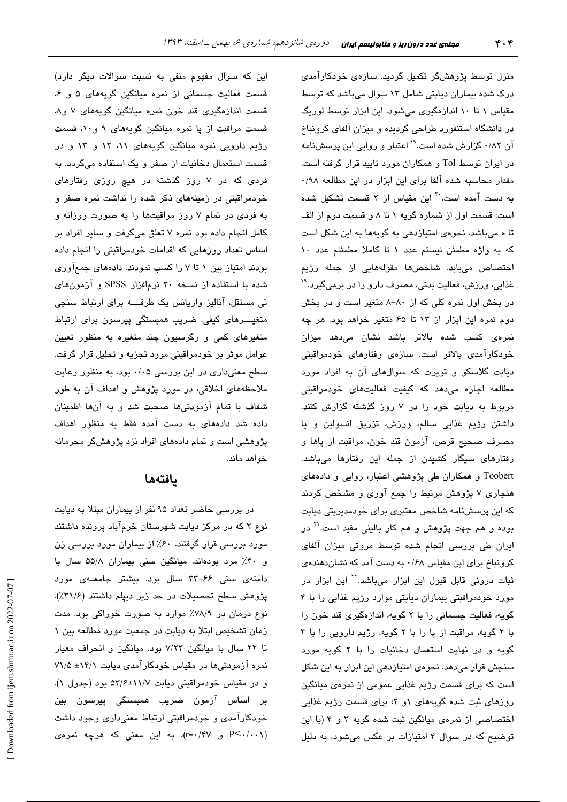این که سوال مفهوم منفی به نسبت سوالات دیگر دارد) قسمت فعالیت جسمانی از نمره میانگین گویههای ۵ و ۶، قسمت اندازهگیری قند خون نمره میانگین گویههای ۷ و۸، قسمت مراقبت از پا نمره میانگین گویههای ۹ و ۱۰، قسمت رژیم دارویی نمره میانگین گویههای ۱۱، ۱۲ و ۱۳ و در قسمت استعمال دخانیات از صفر و یک استفاده میگردد. به فردی که در ۷ روز گذشته در هیچ روزی رفتارهای خودمراقبتی در زمینههای ذکر شده را نداشت نمره صفر و به فردی در تمام ۷ روز مراقبتها را به صورت روزانه و کامل انجام داده بود نمره ۷ تعلق میگرفت و سایر افراد بر اساس تعداد روزهایی که اقدامات خودمراقبتی را انجام داده بودند امتیاز بین ۱ تا ۷ را کسب نمودند. دادههای جمع آوری شده با استفاده از نسخه ۲۰ نرمافزار SPSS و آزمونهای تی مستقل، آنالیز واریانس یک طرفسه برای ارتباط سنجی متغیــــرهای کیفی، ضریب همبستگی پیرسون برای ارتباط متغیرهای کمی و رگرسیون چند متغیره به منظور تعیین عوامل موثر بر خودمراقبتی مورد تجزیه و تحلیل قرار گرفت. سطح معنیداری در این بررسی ۰/۰۵ بود. به منظور رعایت ملاحظههای اخلاقی، در مورد پژوهش و اهداف آن به طور شفاف با تمام آزمودنیها صحبت شد و به آنها اطمینان داده شد دادههای به دست آمده فقط به منظور اهداف پژوهشی است و تمام دادههای افراد نزد پژوهشگر محرمانه خواهد ماند.

#### بافتهها

در بررسی حاضر تعداد ۹۵ نفر از بیماران مبتلا به دیابت نوع ۲ که در مرکز دیابت شهرستان خرمآباد پرونده داشتند مورد بررسی قرار گرفتند. ۶۰٪ از بیماران مورد بررسی زن و ۴۰٪ مرد بودهاند. میانگین سنی بیماران ۵۵/۸ سال با دامنهی سنی ۶۶–۳۳ سال بود. بیشتر جامعهی مورد پژوهش سطح تحصیلات در حد زیر دیپلم داشتند (۳۱/۶٪). نوع درمان در ۷۸/۹٪ موارد به صورت خوراکی بود. مدت زمان تشخيص ابتلا به ديابت در جمعيت مورد مطالعه بين ١ تا ٢٢ سال با ميانگين ٧/٢٣ بود. ميانگين و انحراف معيار نمره آزمودنیها در مقیاس خودکارآمدی دیابت ۷۱/۵ ± ۷۱/۵ و در مقیاس خودمراقبتی دیابت ١١/٧±٥٣/٤ بود (جدول ١). بر اساس آزمون ضریب همبستگی پیرسون بین خودکارآمدی و خودمراقبتی ارتباط معنیداری وجود داشت (۲-۰/۰۰۱) و r=۰/۴۷)، به این معنی که هرچه نمرهی

منزل توسط پژوهشگر تکمیل گردید. سازەی خودکارآمدی درک شده بیماران دیابتی شامل ۱۳ سوال میباشد که توسط مقیاس ١ تا ١٠ اندازهگیری می شود. این ابزار توسط لوریگ در دانشگاه استنفورد طراحی گردیده و میزان آلفای کرونباخ آن ۰/۸۲ گزارش شده است.<sup>۱۹</sup> اعتبار و روایی این پرسشنامه در ایران توسط Tol و همکاران مورد تایید قرار گرفته است. مقدار محاسبه شده آلفا برای این ابزار در این مطالعه ۰/۹۸ به دست آمده است.<sup>۲۰</sup> این مقیاس از ۲ قسمت تشکیل شده است: قسمت اول از شماره گویه ۱ تا ۸ و قسمت دوم از الف تا ه میباشد. نحوهی امتیازدهی به گویهها به این شکل است كه به واژه مطمئن نيستم عدد ١ تا كاملا مطمئنم عدد ١٠ اختصاص میبابد. شاخصها مقولههایی از جمله رژیم غذایی، ورزش، فعالیت بدنی، مصرف دارو را در برمیگیرد.<sup>۱۹</sup> در بخش اول نمره کلی که از ۸۰-۸ متغیر است و در بخش دوم نمره این ابزار از ١٣ تا ۶۵ متغیر خواهد بود. هر چه نمرەی كسب شدە بالاتر باشد نشان میدهد میزان خودکارآمدی بالاتر است. سازهی رفتارهای خودمراقبتی دیابت گلاسکو و توبرت که سوالهای آن به افراد مورد مطالعه اجازه میدهد که کیفیت فعالیتهای خودمراقبتی مربوط به دیابت خود را در ۷ روز گذشته گزارش کنند. داشتن رژيم غذايى سالم، ورزش، تزريق انسولين و يا مصرف صحيح قرص، آزمون قند خون، مراقبت از پاها و رفتارهای سیگار کشیدن از جمله این رفتارها میباشد. Toobert و همکاران طی پژوهشی اعتبار، روایی و دادههای هنجاری ۷ پژوهش مرتبط را جمع آوری و مشخص کردند که این پرسشنامه شاخص معتبری برای خودمدیریتی دیابت بوده و هم جهت پژوهش و هم کار بالینی مفید است.<sup>۲۱</sup> در ایران طی بررسی انجام شده توسط مروتی میزان آلفای کرونباخ برای این مقیاس ۰/۶۸ به دست آمد که نشان دهندهی ثبات درونی قابل قبول این ابزار میباشد.<sup>۲۲</sup> این ابزار در مورد خودمراقبتی بیماران دیابتی موارد رژیم غذایی را با ۴ گویه، فعالیت جسمانی را با ۲ گویه، اندازهگیری قند خون را با ٢ گويه، مراقبت از پا را با ٢ گويه، رژيم دارويى را با ٣ گویه و در نهایت استعمال دخانیات را با ۲ گویه مورد سنجش قرار می دهد. نحوهی امتیازدهی این ابزار به این شکل است که برای قسمت رژیم غذایی عمومی از نمرهی میانگین روزهای ثبت شده گویههای ۱و ۲؛ برای قسمت رژیم غذایی اختصاصی از نمرهی میانگین ثبت شده گویه ۳ و ۴ (با این توضیح که در سوال ۴ امتیازات بر عکس میشود، به دلیل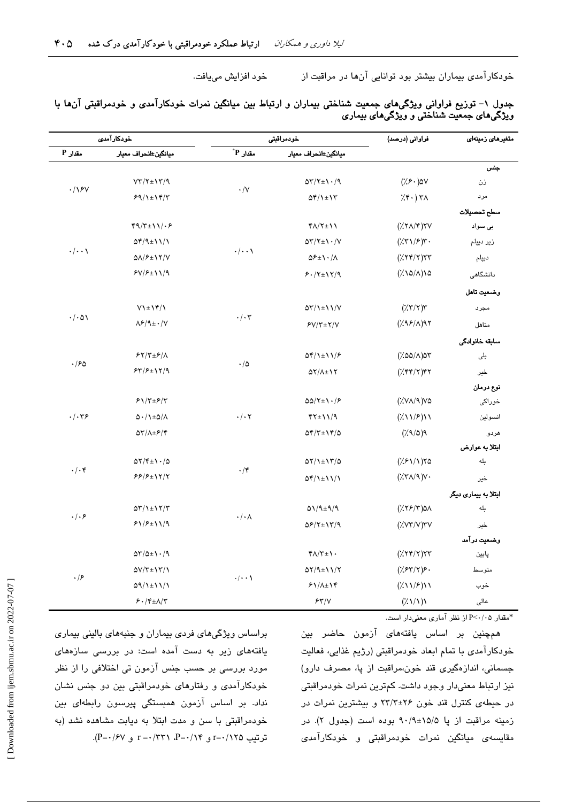خود افزايش مي يافت.

متغیرهای زمینهای فراوانی (درصد) خودکار آمد*ی* خودمراقبتى مقدار P میانگین±انحراف معیار مقدار P $^*$ P .<br>میانگین±انحراف معیار جنس  $VT/\Upsilon \pm \Upsilon/\Upsilon$  $\Delta Y/Y \pm 1.79$  $(\frac{1}{2})^2$ زن  $.198V$  $\cdot$ /V مرد  $59/1 \pm 19/7$  $\Delta \mathfrak{r}/\lambda \pm \lambda \mathfrak{r}$  $(\lambda^* \cdot)$   $\lambda$ سطح تحصيلات  $f \circ \gamma/\gamma \pm 11/\cdot 5$  $Y\Lambda/Y \pm I$  $(\frac{1}{2}(\frac{1}{2}(\frac{1}{2}(\frac{1}{2})))$ بی سواد  $\Delta f/\Delta \pm 11/\Delta$  $\Delta Y/Y \pm Y \cdot /V$  $(\frac{1}{2}\mathcal{F}\mathcal{N}/\mathcal{F})\mathcal{F}$ . زير ديپلم  $\cdot/\cdot\cdot$  $\cdot/\cdot\cdot$  $Q_A/P_{\pm}$  $Y/V$  $\Delta \xi \pm 1.7$  $(\frac{1}{2}(\mathbf{Y}^{\mathbf{r}})^{\mathbf{r}})^{\mathbf{r}}$ ديپلم  $FV/F \pm V1/9$  $(\lambda \setminus \Delta/\Delta) \setminus \Delta$  $8.77 \pm 17/9$ دانشگاهی وضعيت تاهل  $V1 \pm 1 \frac{\mu}{2}$  $(\frac{7}{7})(\frac{1}{7})$  $\Delta \Upsilon / \Upsilon \pm \Upsilon \Upsilon / V$ مجرد  $\cdot/\cdot \varpi$  $\cdot/\cdot$ ۳  $\Lambda$ ۶/۹ $\pm$  · /V  $(\lambda 98/\lambda)98$ متاهل  $FV/Y_{\pm}Y/V$ سابقه خانوادگی  $5Y/Y \pm 5/\Lambda$  $\Delta f/\lambda \pm \lambda \sqrt{P}$  $(\frac{1}{2}00/\lambda)$ ar بلى  $.180$  $\cdot/\Delta$  $54/5 \pm 17/9$  $(\gamma$ ۴۴/۲)۴۲ خىر  $\Delta Y/\Delta \pm Y$ نوع درمان  $81/\tau \pm 8/\tau$  $\Delta\Delta/\Upsilon \pm \Upsilon \cdot /S$  $(\frac{1}{2}V\Lambda)^q)V\Delta$ خوراكى  $.1.79$  $\Delta \cdot / \lambda \pm \Delta / \Lambda$  $\cdot/\cdot \tau$  $YY \pm 11/9$  $(\frac{1}{2}\times\frac{1}{2})$ انسولين  $\Delta \Upsilon / \Lambda \pm \mathcal{F} / \mathcal{F}$  $(\lambda \setminus \lambda/\Delta)$  $\Delta \mathfrak{r}/\mathfrak{r} \pm \mathfrak{r}/\mathfrak{a}$ هردو ابتلا به عوارض  $\Delta Y / f \pm 1.7$  $\Delta Y/\lambda \pm \lambda Y/\Delta$  $(\frac{1}{2})$  (//۶۱/۱)۲۵ بله  $\cdot/\cdot$ ۴  $\cdot$ /۴  $55/5+17/7$  $(\langle \nabla \wedge \wedge \wedge \wedge \vee \cdot \rangle)$  $\Delta f/\lambda \pm 11/\lambda$ خیر ابتلا به بیماری دیگر  $\Delta Y/\lambda \pm \lambda Y/Y$  $Q\Lambda/9\pm9/9$  $(X55/T)QA$ ىلە  $. |.$ ۶  $\cdot/\cdot \wedge$  $81/F \pm 11/9$  $QF/Y \pm YY/A$  $(\angle VY/V)YV$ خیر وخىعيت درآمد  $\Delta \Upsilon / \Delta \pm 1.79$  $\mathfrak{r}_\Lambda/\mathfrak{r}_{\pm}$  \ .  $(\frac{1}{2} \mathbf{Y} \mathbf{Y}) \mathbf{Y} \mathbf{Y}$ پايين  $\Delta V/\Upsilon \pm \Upsilon/\Upsilon$  $QY/9 \pm 11/Y$  $(\frac{1}{2}F(Y|Y))$ . متو سط  $.49$  $\cdot/\cdot\cdot$  $Q(1+1)/1$  $81/\lambda \pm 14$  $(\frac{1}{2}\times\frac{1}{2})$ خوب  $9.74 \pm 0.07$  $5Y/V$  $(\frac{1}{2}\frac{1}{2})$ عالى

جدول ١- توزيع فراواني ويژگيهاي جمعيت شناختي بيماران و ارتباط بين ميانگين نمرات خودكارآمدي و خودمراقبتي آنها با ویژگیهای جمعیت شناختی و ویژگیهای بیماری

\*مقدار P<۰/۰۵ از نظر آماری معنیدار است.

همچنین بر اساس یافتههای آزمون حاضر بین خودکارآمدی با تمام ابعاد خودمراقبتی (رژیم غذایی، فعالیت جسمانی، اندازهگیری قند خون،مراقبت از یا، مصرف دارو) نيز ارتباط معنى،ار وجود داشت. كمترين نمرات خودمراقبتي در حیطهی کنترل قند خون ۲۶±۲۳/۳ و بیشترین نمرات در زمینه مراقبت از یا ۹۰/۹±۱۵/۵ بوده است (جدول ۲). در مقایسهی میانگین نمرات خودمراقبتی و خودکارآم*دی* 

خودکارآمدی بیماران بیشتر بود توانایی آنها در مراقبت از

براساس ویژگیهای فردی بیماران و جنبههای بالینی بیماری یافتههای زیر به دست آمده است: در بررسی سازههای مورد بررسی بر حسب جنس آزمون تی اختلافی را از نظر خودکارآمدی و رفتارهای خودمراقبتی بین دو جنس نشان نداد. بر اساس آزمون همبستگی پیرسون رابطهای بین خودمراقبتی با سن و مدت ابتلا به دیابت مشاهده نشد (به ترتيب 2\1\r=-1 و 1\r=-\/٢٣\r}. r =- 1 و P=٠/۶٧].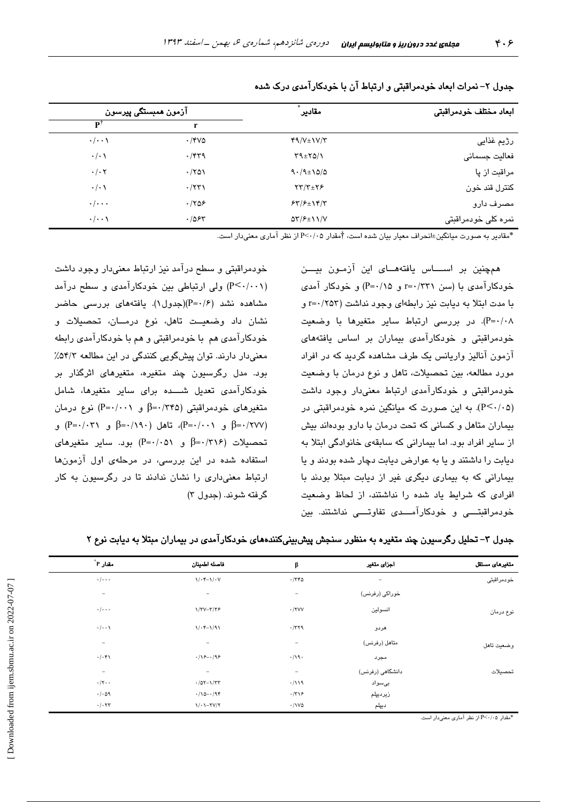| ابعاد مختلف خودمراقبتى | ْمقادير                   | آزمون همبستگي پيرسون |                            |
|------------------------|---------------------------|----------------------|----------------------------|
|                        |                           | r                    |                            |
| رژیم غذایی             | $Y9/Y \pm YY/Y$           | $\cdot$ /۴۷۵         | $\cdot/\cdot\cdot$         |
| فعالیت جسمانی          | $\Gamma$ 9± $\Gamma$ ۵/۱  | $\cdot$ /۴۳۹         | $\cdot/\cdot$              |
| مراقبت از پا           | $9.79 \pm 10/0$           | $\cdot$ /۲۵۱         | $\cdot/\cdot$ $\mathsf{y}$ |
| كنترل قند خون          | $\tau\tau/\tau_{\pm}\tau$ | $\cdot$ /۲۳۱         | $\cdot/\cdot$              |
| مصرف دارو              | $57/5$ + $19/7$           | .788                 | $\cdot/\cdot\cdot\cdot$    |

 $\Delta \Upsilon / {\mathit{F}} \pm \Upsilon \Upsilon / V$ 

جدول ۲– نمرات ابعاد خودمراقبتی و ارتباط آن با خودکارآمدی درک شده

در به صورت مبانگین±انحراف معیار بیان شده است، †مقدار ۲۰/۰۵ از نظر آماری معنیدار است.

همچنین بر اســاس یافتههـای این آزمـون بیـــن خودکارآمدی با (سن ٣٣١/٣٣١ و P=٠/١۵) و خودکار آمدی با مدت ابتلا به دیابت نیز رابطهای وجود نداشت (٢٥٣/٣=r P=۰/۰۸). در بررسی ارتباط سایر متغیرها با وضعیت خودمراقبتی و خودکارآمدی بیماران بر اساس یافتههای آزمون آنالیز واریانس یک طرف مشاهده گردید که در افراد مورد مطالعه، بین تحصیلات، تاهل و نوع درمان با وضعیت خودمراقبتی و خودکارآمدی ارتباط معنیدار وجود داشت (P<۰/۰۵). به این صورت که میانگین نمره خودمراقبتی در بیماران متاهل و کسانی که تحت درمان با دارو بودهاند بیش از سایر افراد بود. اما بیمارانی که سابقهی خانوادگی ابتلا به ديابت را داشتند و يا به عوارض ديابت دچار شده بودند و يا بیمارانی که به بیماری دیگری غیر از دیابت مبتلا بودند با افرادی که شرایط یاد شده را نداشتند، از لحاظ وضعیت خودمراقبتــــی و خودکارآمــــدی تفاوتــــی نداشتند. بین

خودمراقبتی و سطح درآمد نیز ارتباط معنیدار وجود داشت (P<۰/۰۰۱) ولی ارتباطی بین خودکارآمدی و سطح درآمد مشاهده نشد (۶/۰=P)(جدول۱). یافتههای بررسی حاضر نشان داد وضعیت تاهل، نوع درمـان، تحصیلات و خودکارآمدی هم با خودمراقبتی و هم با خودکارآمدی رابطه معنیدار دارند. توان پیشگویی کنندگی در این مطالعه ۵۴/۲٪ بود. مدل رگرسبون چند متغیره، متغیرهای اثرگذار بر خودکارآمدی تعدیل شـــده برای سایر متغیرها، شامل متغیرهای خودمراقبتی (۶۴۵/۲۴۵ و P=۰/۰۰۱) نوع درمان  $(P=-(\cdot \tau)$  ی  $P=-(\cdot \tau)$ ، تاهل  $(1-\beta)$  ی  $(1-\tau)$  ی  $(1-\tau)$  $\beta = \cdot$  (۲۱۶)\*=( $\beta = \frac{1}{2}$ ) بود. سایر متغیرهای استفاده شده در این بررسی، در مرحلهی اول آزمونها ارتباط معنی داری را نشان ندادند تا در رگرسیون به کار گرفته شوند. (جدول ۳)

 $.705$ 

 $\cdot/\cdot\cdot$ 

| متغیرهای مستقل | اجزای متغیر      | β                        | فاصله اطمينان                                         | مقدار P $^*$             |
|----------------|------------------|--------------------------|-------------------------------------------------------|--------------------------|
| خودمراقبتى     | -                | $\cdot$ /٣۴۵             | $\sqrt{\cdot\mathcal{F}-\mathcal{N}\cdot\mathcal{V}}$ | $\cdot/\cdot\cdot$       |
|                | خوراکی (رفرنس)   | $\qquad \qquad =$        | $\qquad \qquad \blacksquare$                          | $\overline{\phantom{a}}$ |
| نوع درمان      | انسولين          | $\cdot$ /۲۷۷             | $Y/YY-Y/YP$                                           | $\cdot/\cdot\cdot$       |
|                | هردو             | .779                     | $1/\cdot$ ۴-1/91                                      | $\cdot/\cdot\cdot$       |
| وضعيت تاهل     | متاهل (رفرنس)    | $\overline{\phantom{a}}$ | $\overline{\phantom{a}}$                              | $\sim$                   |
|                | مجرد             | .719.                    | $.18 - .199$                                          | $\cdot/\cdot$ ۴۱         |
| تحصيلات        | دانشگاهی (رفرنس) | $\overline{\phantom{a}}$ | $\overline{\phantom{a}}$                              | $\overline{\phantom{a}}$ |
|                | بىسواد           | .7119                    | $\cdot$ /0۲-1/۳۳                                      | $\cdot/\tau \cdot \cdot$ |
|                | زيرديپلم         | $\cdot$ /٣١۶             | $.70 - .798$                                          | $\cdot$ / $\cdot$ 09     |
|                | ديپلم            | $\cdot$ /1VQ             | $1/1 - YV/Y$                                          | $\cdot/\cdot$ $\tau\tau$ |

\*مقدار ۶</۰->P از نظر آماری معنیدار است.

نمرہ کلی خودمراقبتی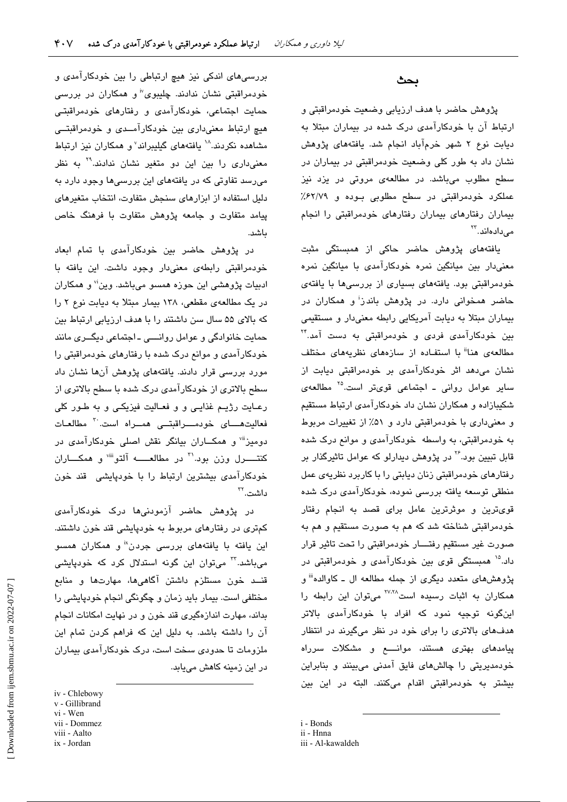#### بحث

پژوهش حاضر با هدف ارزیابی وضعیت خودمراقبتی و ارتباط آن با خودکارآمدی درک شده در بیماران مبتلا به دیابت نوع ۲ شهر خرمآباد انجام شد. یافتههای پژوهش نشان داد به طور کلی وضعیت خودمراقبتی در بیماران در سطح مطلوب میباشد. در مطالعهی مروتی در یزد نیز عملکرد خودمراقبتی در سطح مطلوبی بـوده و ۶۲/۷۹٪ بیماران رفتارهای بیماران رفتارهای خودمراقبتی را انجام مے دادهاند. ۲۳

یافتههای پژوهش حاضر حاکی از همبستگی مثبت معنی دار بین میانگین نمره خودکارآمدی با میانگین نمره خودمراقبتی بود. یافتههای بسیاری از بررسیها با یافتهی حاضر همخوانی دارد. در پژوهش باندز<sup>ا</sup> و همکاران در بیماران مبتلا به دیابت آمریکایی رابطه معنیدار و مستقیمی بین خودکارآم*دی* فرد*ی* و خودمراقبتی به دست آمد.<sup>۲۴</sup> مطالعهی هنا<sup>ة</sup> با استفـاده از سازههای نظریههای مختلف نشان میدهد اثر خودکارآمدی بر خودمراقبتی دیابت از سایر عوامل روانی ـ اجتماعی قویتر است.<sup>۲۵</sup> مطالعهی شکیبازاده و همکاران نشان داد خودکارآمدی ارتباط مستقیم و معنى دارى با خودمراقبتى دارد و ۵٪ از تغييرات مربوط به خودمراقبتی، به واسطه خودکارآمدی و موانع درک شده قابل تبیین بود.<sup>۲۶</sup> در پژوهش دیدارلو که عوامل تاثیرگذار بر رفتارهای خودمراقبتی زنان دیابتی را با کاربرد نظریهی عمل منطقی توسعه یافته بررسی نموده، خودکارآمدی درک شده قویترین و موثرترین عامل برای قصد به انجام رفتار خودمراقبتي شناخته شد كه هم به صورت مستقيم و هم به صورت غير مستقيم رفتــــار خودمراقبتي را تحت تاثير قرار داد.<sup>۱۵</sup> همبستگی قوی بین خودکارآمدی و خودمراقبتی در پژوهشهای متعدد دیگری از جمله مطالعه ال ـ کاوالده<sup>نن</sup> و همکاران به اثبات رسیده است<sup>۲۷،۲۸</sup> میتوان این رابطه را اینگونه توجیه نمود که افراد با خودکارآم*دی* بالاتر هدفهای بالاتری را برای خود در نظر میگیرند در انتظار پیامدهای بهتری هستند، موانسع و مشکلات سرراه خودمدیریتی را چالشهای فایق آمدنی میبینند و بنابراین بیشتر به خودمراقبتی اقدام میکنند. البته در این بین

- i Bonds
- ii Hnna

بررسیهای اندکی نیز هیچ ارتباطی را بین خودکارآمدی و خودمراقبتی نشان ندادند. چلیبوی<sup>٬</sup> و همکاران در بررس*ی* حمات اجتماعی، خودکارآمدی و رفتارهای خودمراقبتی هیچ ارتباط معنیداری بین خودکارآمــدی و خودمراقبتــی مشاهده نکردند. `` یافتههای گیلیبراند` و همکاران نیز ارتباط معنی داری را بین این دو متغیر نشان ندادند.<sup>۲۹</sup> به نظر میرسد تفاوتی که در یافتههای این بررسیها وجود دارد به دلیل استفاده از ابزارهای سنجش متفاوت، انتخاب متغیرهای یبامد متفاوت و جامعه پژوهش متفاوت با فرهنگ خاص ىاشد.

در پژوهش حاضر بین خودکارآمدی با تمام ابعاد خودمراقبتی رابطهی معنیدار وجود داشت. این یافته با ادبیات پژوهشی این حوزه همسو میباشد. وین<sup>ن</sup> و همکاران در یک مطالعهی مقطعی، ۱۳۸ بیمار مبتلا به دیابت نوع ۲ را که بالای ۵۵ سال سن داشتند را با هدف ارزبانی ارتباط بین حمایت خانوادگی و عوامل روانسی ـ اجتماعی دیگــری مانند خودکارآمدی و موانع درک شده با رفتارهای خودمراقبتی را مورد دررسی قرار دادند. یافتههای پژوهش آنها نشان داد سطح بالاتری از خودکارآمدی درک شده با سطح بالاتری از رعـايت رژيـم غذايـي و و فعـاليت فيزيكـي و به طـور كلي فعالیتهــای خودمـــراقبتــی همــراه است. به مطالعـات دومیز<sup>ü</sup>" و همکــاران بیانگر نقش اصلی خودکارآمدی در كنتـــــــرل وزن بود.<sup>\"</sup> در مطالعــــــــه آلتو.'''' و همكـــــاران خودکارآمدی بیشترین ارتباط را با خودپایشی قند خون داشت.<sup>۳۲</sup>

در پژوهش حاضر آزمودنیها درک خودکارآمدی کمتری در رفتارهای مربوط به خودپایشی قند خون داشتند. این یافته با یافتههای بررسی جردن<sup>«</sup> و همکاران همسو میباشد.<sup>۳</sup> میتوان این گونه استدلال کرد که خودپایش*ی* قنــد خون مستلزم داشتن آگاهیِها، مهارتها و منابع مختلفی است. بیمار باید زمان و چگونگی انجام خودپایشی را بداند، مهارت اندازهگیری قند خون و در نهایت امکانات انجام آن را داشته باشد. به دلیل این که فراهم کردن تمام این ملزومات تا حدودی سخت است، درک خودکارآمدی بیماران در این زمینه کاهش می یابد.

iv - Chlebowy v - Gillibrand vi - Wen vii - Dommez viii - Aalto ix - Jordan

iii - Al-kawaldeh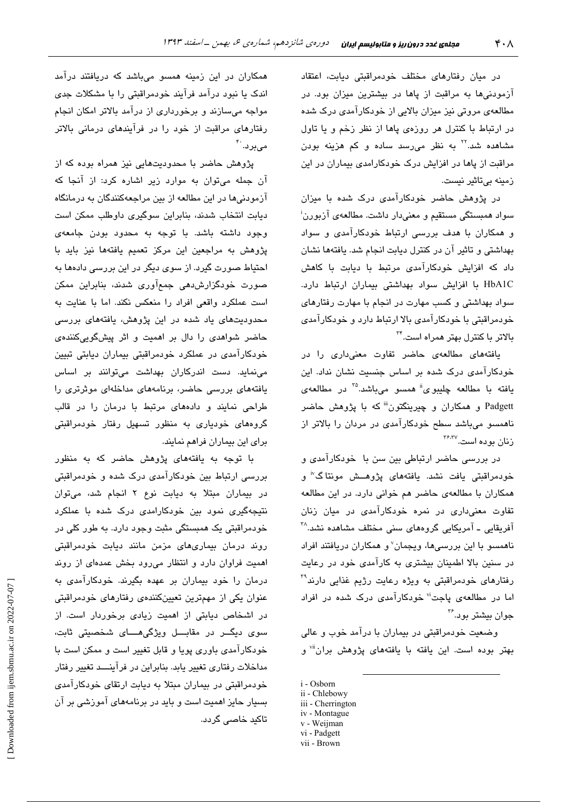در میان رفتارهای مختلف خودمراقبتی دیابت، اعتقاد آزمودنیها به مراقبت از پاها در بیشترین میزان بود. در مطالعهی مروتی نیز میزان پالایی از خودکارآمدی درک شده در ارتباط با کنترل هر روزهي پاها از نظر زخم و يا تاول مشاهده شد.<sup>۲۲</sup> به نظر می٫رسد ساده و کم هزینه بودن مراقبت از یاها در افزایش درک خودکارامدی بیماران در این زمينه بيتاثير نيست.

در پژوهش حاضر خودکارآمدی درک شده با میزان سواد همستگی مستقدم و معنیدار داشت. مطالعهی آزبورن<sup>:</sup> و همکاران با هدف بررسی ارتباط خودکارآمدی و سواد بهداشتی و تاثیر آن در کنترل دیابت انجام شد. یافتهها نشان داد که افزایش خودکارآمدی مرتبط یا دیایت یا کاهش HbA1C با افزایش سواد بهداشتی بیماران ارتباط دارد. سواد بهداشتی و کسب مهارت در انجام با مهارت رفتارهای خودمراقبتی یا خودکارآمدی بالا ارتباط دارد و خودکارآمدی بالاتر با کنترل بهتر همراه است.<sup>۳۴</sup>

یافتههای مطالعهی حاضر تفاوت معنی،داری را در خودکارآمدی درک شده در اساس جنست نشان نداد. این یافته با مطالعه چلیبوی<sup>ة</sup> همسو میباشد.<sup>۳۵</sup> در مطالعهی Padgett و همکاران و چیرینگتون" که با پژوهش حاضر .<br>ناهمسو می،باشد سطح خودکارآمدی در مردان را بالاتر از زنان بوده است. <sup>۲۶٬۳۷</sup>

در بررسی حاضر ارتباطی بین سن با خودکارآمدی و خودمراقبتی یافت نشد. یافتههای پژوهــش مونتاگ<sup>ة</sup> و همکاران با مطالعهی حاضر هم خوانی دارد. در این مطالعه تفاوت معنیداری در نمره خودکارآمدی در میان زنان آفریقایی ــ آمریکایی گروههای سنی مختلف مشاهده نشد.^″ ناهمسو با این بررسیها، ویجمان<sup>٬</sup> و همکاران دریافتند افراد در سنین بالا اطمینان بیشتری به کارآمدی خود در رعایت رفتارهای خودمراقبتی به ویژه رعایت رژیم غذایی دارند\*۲ اما در مطالعهی پاجت<sup>۷</sup>ٔ خودکارآمدی درک شده در افراد جوان بیشتر بود.<sup>۳۶</sup>

وضعیت خودمراقبتی در بیماران با درآمد خوب و عالی بهتر بوده است. این یافته با یافتههای پژوهش بران" و

- i Osborn
- ii Chlebowy
- iii Cherrington
- iv Montague v - Weijman
- vi Padgett
- vii Brown

همکاران در این زمینه همسو میباشد که دریافتند درآمد اندک یا نبود درآمد فرآیند خودمراقبتی را با مشکلات جدی مواجه میسازند و پرخورداری از درآمد پالاتر امکان انجام رفتارهای مراقبت از خود را در فرآیندهای درمانی بالاتر مے برد. `\*

پژوهش حاضر یا محدودیتهایی نیز همراه بوده که از آن جمله میتوان به موارد زیر اشاره کرد: از آنجا که آزمودنیها در این مطالعه از بین مراجعهکنندگان به درمانگاه دیایت انتخاب شدند، بنابراین سوگیری داوطلب ممکن است وجود داشته باشد. با توجه به محدود بودن جامعهی پژوهش به مراجعین این مرکز تعمیم یافتهها نیز باید با احتیاط صورت گیرد. از سوی دیگر در این پررسی دادهها به صورت خودگزارشدهی جمعآوری شدند، بنابراین ممکن است عملكرد واقعى افراد را منعكس نكند. اما با عنايت به محدودیتهای باد شده در این پژوهش، بافتههای بررسی حاضر شواهدی را دال بر اهمیت و اثر پیشگوییکنندهی خودکارآمدی در عملکرد خودمراقبتی بیماران دیابتی تبیین می:نماید. دست اندرکاران پهداشت می:توانند پر اساس یافتههای بررسی حاضر، برنامههای مداخلهای موثرتری را طراحی نمایند و دادههای مرتبط با درمان را در قالب گروههای خودیاری به منظور تسهیل رفتار خودمراقبتی برای این بیماران فراهم نمایند.

با توجه به یافتههای پژوهش حاضر که به منظور بررسی ارتباط بین خودکارآمدی درک شده و خودمراقبتی در بیماران مبتلا به دیابت نوع ۲ انجام شد، میتوان نتیجهگیر*ی* نمود بین خودکارامدی درک شده با عملکرد خودمراقبتی یک همبستگی مثبت وجود دارد. به طور کلی در روند درمان بیماریهای مزمن مانند دیابت خودمراقبتی اهمیت فراوان دارد و انتظار میرود بخش عمدهای از روند درمان را خود بیماران بر عهده بگیرند. خودکارآمدی به عنوان یکی از مهمترین تعیینکنندهی رفتارهای خودمراقبتی در اشخاص دیابتی از اهمیت زیادی برخوردار است. از سوی دیگــر در مقابـــل ویژگیهــــای شخصیتی ثابت، خودکارآمدی باوری پویا و قابل تغییر است و ممکن است با مداخلات رفتاری تغییر یابد. بنابراین در فرآینـــد تغییر رفتار خودمراقبتی در بیماران مبتلا به دیابت ارتقای خودکارآمدی بسیار حایز اهمیت است و باید در برنامههای آموزشی بر آن تاکید خاصی گردد.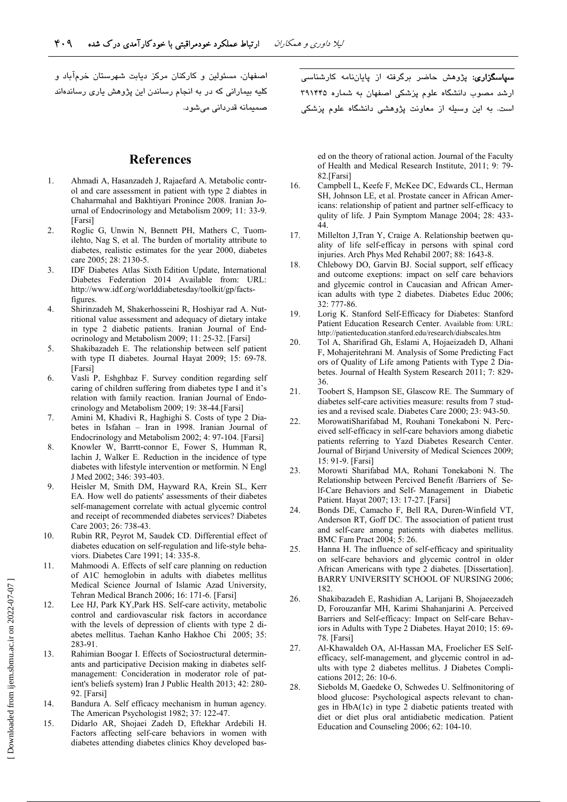اصفهان، مسئولین و کارکنان مرکز دیابت شهرستان خرم۱باد و کلیه بیمارانی که در به انجام رساندن این پژوهش یاری رساند<mark>هاند</mark> صمیمانه قدردانی میشود.

#### **References**

- 1. Ahmadi A, Hasanzadeh J, Rajaefard A. Metabolic control and care assessment in patient with type 2 diabtes in Chaharmahal and Bakhtiyari Pronince 2008. Iranian Journal of Endocrinology and Metabolism 2009; 11: 33-9. [Farsi]
- 2. Roglic G, Unwin N, Bennett PH, Mathers C, Tuomilehto, Nag S, et al. The burden of mortality attribute to diabetes, realistic estimates for the year 2000, diabetes care 2005; 28: 2130-5.
- 3. IDF Diabetes Atlas Sixth Edition Update, International Diabetes Federation 2014 Available from: URL: http://www.idf.org/worlddiabetesday/toolkit/gp/factsfigures.
- 4. Shirinzadeh M, Shakerhosseini R, Hoshiyar rad A. Nutritional value assessment and adequacy of dietary intake in type 2 diabetic patients. Iranian Journal of Endocrinology and Metabolism 2009; 11: 25-32. [Farsi]
- 5. Shakibazadeh E. The relationship between self patient with type  $\Pi$  diabetes. Journal Hayat 2009; 15: 69-78. [Farsi]
- 6. Vasli P, Eshghbaz F. Survey condition regarding self caring of children suffering from diabetes type I and it's relation with family reaction. Iranian Journal of Endocrinology and Metabolism 2009; 19: 38-44.[Farsi]
- 7. Amini M, Khadivi R, Haghighi S. Costs of type 2 Diabetes in Isfahan – Iran in 1998. Iranian Journal of Endocrinology and Metabolism 2002; 4: 97-104. [Farsi]
- 8. Knowler W, Barrtt-connor E, Fower S, Humman R, lachin J, Walker E. Reduction in the incidence of type diabetes with lifestyle intervention or metformin. N Engl J Med 2002; 346: 393-403.
- 9. Heisler M, Smith DM, Hayward RA, Krein SL, Kerr EA. How well do patients' assessments of their diabetes self-management correlate with actual glycemic control and receipt of recommended diabetes services? Diabetes Care 2003; 26: 738-43.
- 10. Rubin RR, Peyrot M, Saudek CD. Differential effect of diabetes education on self-regulation and life-style behaviors. Diabetes Care 1991; 14: 335-8.
- 11. Mahmoodi A. Effects of self care planning on reduction of A1C hemoglobin in adults with diabetes mellitus Medical Science Journal of Islamic Azad University, Tehran Medical Branch 2006; 16: 171-6. [Farsi]
- 12. Lee HJ, Park KY,Park HS. Self-care activity, metabolic control and cardiovascular risk factors in accordance with the levels of depression of clients with type 2 diabetes mellitus. Taehan Kanho Hakhoe Chi 2005; 35: 283-91.
- 13. Rahimian Boogar I. Effects of Sociostructural determinants and participative Decision making in diabetes selfmanagement: Concideration in moderator role of patient's beliefs system) Iran J Public Health 2013; 42: 280- 92. [Farsi]
- 14. Bandura A. Self efficacy mechanism in human agency. The American Psychologist 1982; 37: 122-47.
- 15. Didarlo AR, Shojaei Zadeh D, Eftekhar Ardebili H. Factors affecting self-care behaviors in women with diabetes attending diabetes clinics Khoy developed bas-

<mark>سپاسگزاری</mark>: پژوهش حاضر برگرفته از پایاننامه کارشناس*ی* ارشد مصوب دانشگاه علوم پزشکی اصفهان به شماره ۳۹۱۴۴۵ است. به این وسیله از معاونت پژوهشی دانشگاه علوم پزشکی

ed on the theory of rational action. Journal of the Faculty of Health and Medical Research Institute, 2011; 9: 79- 82.[Farsi]

- 16. Campbell L, Keefe F, McKee DC, Edwards CL, Herman SH, Johnson LE, et al. Prostate cancer in African Americans: relationship of patient and partner self-efficacy to qulity of life. J Pain Symptom Manage 2004; 28: 433- 44.
- 17. Millelton J,Tran Y, Craige A. Relationship beetwen quality of life self-efficay in persons with spinal cord injuries. Arch Phys Med Rehabil 2007; 88: 1643-8.
- 18. Chlebowy DO, Garvin BJ. Social support, self efficacy and outcome exeptions: impact on self care behaviors and glycemic control in Caucasian and African American adults with type 2 diabetes. Diabetes Educ 2006; 32: 777-86.
- 19. Lorig K. Stanford Self-Efficacy for Diabetes: Stanford Patient Education Research Center. Available from: URL: http://patienteducation.stanford.edu/research/diabscales.htm
- 20. Tol A, Sharifirad Gh, Eslami A, Hojaeizadeh D, Alhani F, Mohajeritehrani M. Analysis of Some Predicting Fact ors of Quality of Life among Patients with Type 2 Diabetes. Journal of Health System Research 2011; 7: 829- 36.
- 21. Toobert S, Hampson SE, Glascow RE. The Summary of diabetes self-care activities measure: results from 7 studies and a revised scale. Diabetes Care 2000; 23: 943-50.
- 22. MorowatiSharifabad M, Rouhani Tonekaboni N. Perceived self-efficacy in self-care behaviors among diabetic patients referring to Yazd Diabetes Research Center. Journal of Birjand University of Medical Sciences 2009; 15: 91-9. [Farsi]
- 23. Morowti Sharifabad MA, Rohani Tonekaboni N. The Relationship between Percived Benefit /Barriers of Self-Care Behaviors and Self- Management in Diabetic Patient. Hayat 2007; 13: 17-27. [Farsi]
- 24. Bonds DE, Camacho F, Bell RA, Duren-Winfield VT, Anderson RT, Goff DC. The association of patient trust and self-care among patients with diabetes mellitus. BMC Fam Pract 2004; 5: 26.
- 25. Hanna H. The influence of self-efficacy and spirituality on self-care behaviors and glycemic control in older African Americans with type 2 diabetes. [Dissertation]. BARRY UNIVERSITY SCHOOL OF NURSING 2006; 182.
- 26. Shakibazadeh E, Rashidian A, Larijani B, Shojaeezadeh D, Forouzanfar MH, Karimi Shahanjarini A. Perceived Barriers and Self-efficacy: Impact on Self-care Behaviors in Adults with Type 2 Diabetes. Hayat 2010; 15: 69- 78. [Farsi]
- 27. Al-Khawaldeh OA, Al-Hassan MA, Froelicher ES Selfefficacy, self-management, and glycemic control in adults with type 2 diabetes mellitus. J Diabetes Complications 2012; 26: 10-6.
- 28. Siebolds M, Gaedeke O, Schwedes U. Selfmonitoring of blood glucose: Psychological aspects relevant to changes in HbA(1c) in type 2 diabetic patients treated with diet or diet plus oral antidiabetic medication. Patient Education and Counseling 2006; 62: 104-10.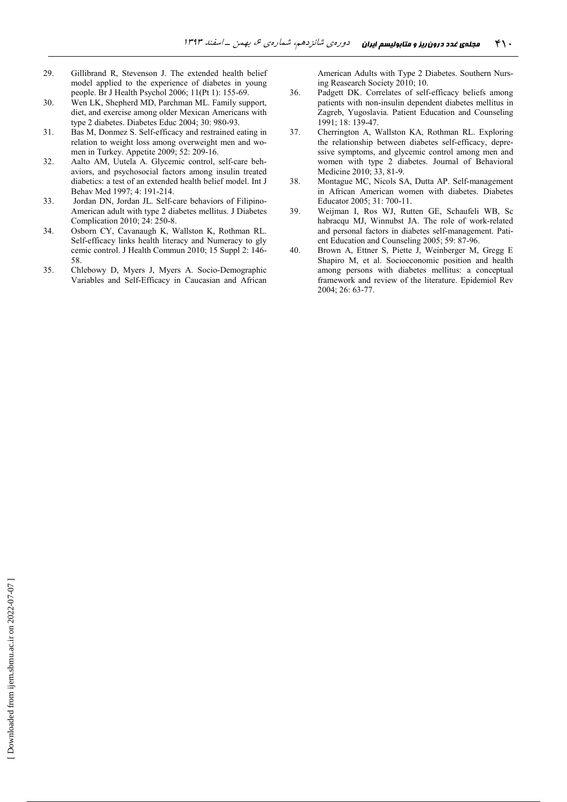- 29. Gillibrand R, Stevenson J. The extended health belief model applied to the experience of diabetes in young people. Br J Health Psychol 2006; 11(Pt 1): 155-69.
- 30. Wen LK, Shepherd MD, Parchman ML. Family support, diet, and exercise among older Mexican Americans with type 2 diabetes. Diabetes Educ 2004; 30: 980-93.
- 31. Bas M, Donmez S. Self-efficacy and restrained eating in relation to weight loss among overweight men and women in Turkey. Appetite 2009; 52: 209-16.
- 32. Aalto AM, Uutela A. Glycemic control, self-care behaviors, and psychosocial factors among insulin treated diabetics: a test of an extended health belief model. Int J Behav Med 1997; 4: 191-214.
- 33. Jordan DN, Jordan JL. Self-care behaviors of Filipino-American adult with type 2 diabetes mellitus. J Diabetes Complication 2010; 24: 250-8.
- 34. Osborn CY, Cavanaugh K, Wallston K, Rothman RL. Self-efficacy links health literacy and Numeracy to gly cemic control. J Health Commun 2010; 15 Suppl 2: 146- 58.
- 35. Chlebowy D, Myers J, Myers A. Socio-Demographic Variables and Self-Efficacy in Caucasian and African

American Adults with Type 2 Diabetes. Southern Nursing Reasearch Society 2010; 10.

- 36. Padgett DK. Correlates of self-efficacy beliefs among patients with non-insulin dependent diabetes mellitus in Zagreb, Yugoslavia. Patient Education and Counseling 1991; 18: 139-47.
- 37. Cherrington A, Wallston KA, Rothman RL. Exploring the relationship between diabetes self-efficacy, depressive symptoms, and glycemic control among men and women with type 2 diabetes. Journal of Behavioral Medicine 2010; 33, 81-9.
- 38. Montague MC, Nicols SA, Dutta AP. Self-management in African American women with diabetes. Diabetes Educator 2005; 31: 700-11.
- 39. Weijman I, Ros WJ, Rutten GE, Schaufeli WB, Sc habracqu MJ, Winnubst JA. The role of work-related and personal factors in diabetes self-management. Patient Education and Counseling 2005; 59: 87-96.
- 40. Brown A, Ettner S, Piette J, Weinberger M, Gregg E Shapiro M, et al. Socioeconomic position and health among persons with diabetes mellitus: a conceptual framework and review of the literature. Epidemiol Rev 2004; 26: 63-77.